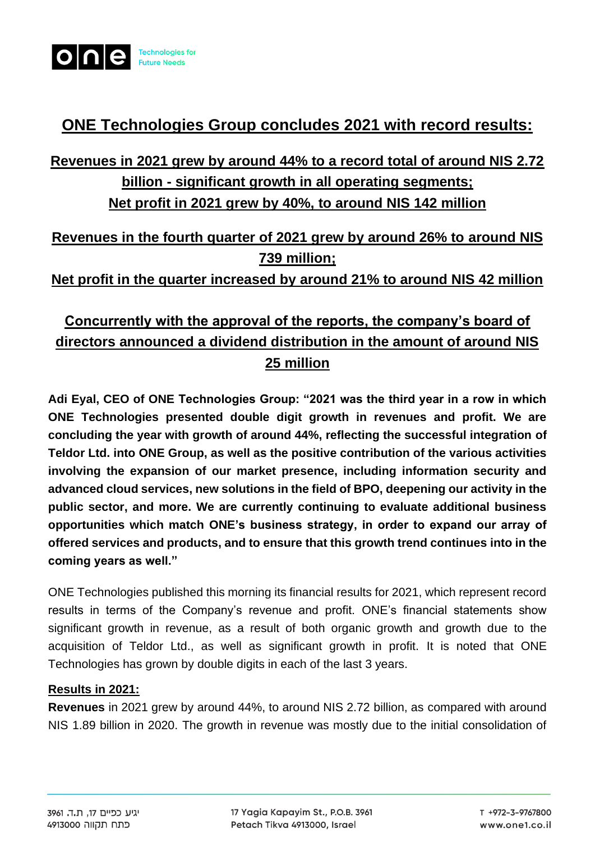

# **ONE Technologies Group concludes 2021 with record results:**

# **Revenues in 2021 grew by around 44% to a record total of around NIS 2.72 billion - significant growth in all operating segments; Net profit in 2021 grew by 40%, to around NIS 142 million**

## **Revenues in the fourth quarter of 2021 grew by around 26% to around NIS 739 million;**

**Net profit in the quarter increased by around 21% to around NIS 42 million**

# **Concurrently with the approval of the reports, the company's board of directors announced a dividend distribution in the amount of around NIS 25 million**

**Adi Eyal, CEO of ONE Technologies Group: "2021 was the third year in a row in which ONE Technologies presented double digit growth in revenues and profit. We are concluding the year with growth of around 44%, reflecting the successful integration of Teldor Ltd. into ONE Group, as well as the positive contribution of the various activities involving the expansion of our market presence, including information security and advanced cloud services, new solutions in the field of BPO, deepening our activity in the public sector, and more. We are currently continuing to evaluate additional business opportunities which match ONE's business strategy, in order to expand our array of offered services and products, and to ensure that this growth trend continues into in the coming years as well."**

ONE Technologies published this morning its financial results for 2021, which represent record results in terms of the Company's revenue and profit. ONE's financial statements show significant growth in revenue, as a result of both organic growth and growth due to the acquisition of Teldor Ltd., as well as significant growth in profit. It is noted that ONE Technologies has grown by double digits in each of the last 3 years.

#### **Results in 2021:**

**Revenues** in 2021 grew by around 44%, to around NIS 2.72 billion, as compared with around NIS 1.89 billion in 2020. The growth in revenue was mostly due to the initial consolidation of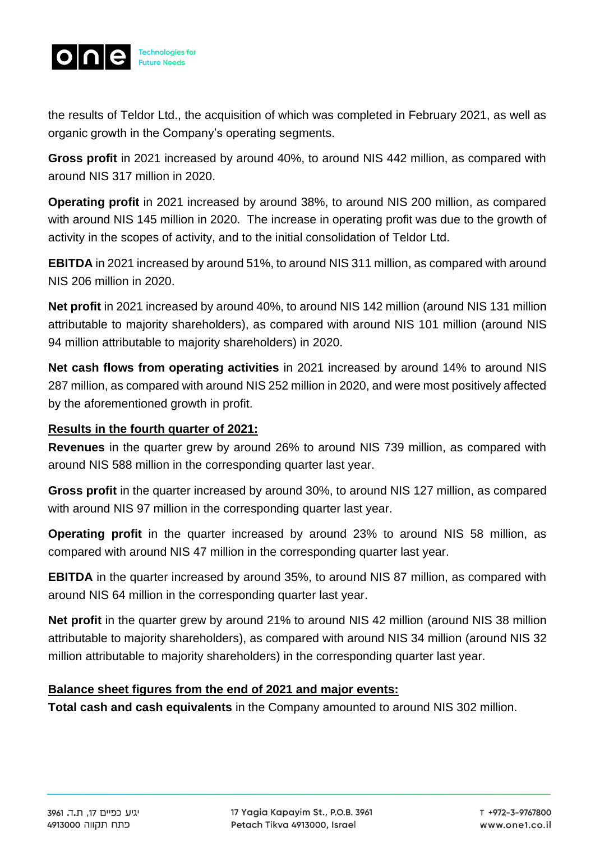

the results of Teldor Ltd., the acquisition of which was completed in February 2021, as well as organic growth in the Company's operating segments.

**Gross profit** in 2021 increased by around 40%, to around NIS 442 million, as compared with around NIS 317 million in 2020.

**Operating profit** in 2021 increased by around 38%, to around NIS 200 million, as compared with around NIS 145 million in 2020. The increase in operating profit was due to the growth of activity in the scopes of activity, and to the initial consolidation of Teldor Ltd.

**EBITDA** in 2021 increased by around 51%, to around NIS 311 million, as compared with around NIS 206 million in 2020.

**Net profit** in 2021 increased by around 40%, to around NIS 142 million (around NIS 131 million attributable to majority shareholders), as compared with around NIS 101 million (around NIS 94 million attributable to majority shareholders) in 2020.

**Net cash flows from operating activities** in 2021 increased by around 14% to around NIS 287 million, as compared with around NIS 252 million in 2020, and were most positively affected by the aforementioned growth in profit.

#### **Results in the fourth quarter of 2021:**

**Revenues** in the quarter grew by around 26% to around NIS 739 million, as compared with around NIS 588 million in the corresponding quarter last year.

**Gross profit** in the quarter increased by around 30%, to around NIS 127 million, as compared with around NIS 97 million in the corresponding quarter last year.

**Operating profit** in the quarter increased by around 23% to around NIS 58 million, as compared with around NIS 47 million in the corresponding quarter last year.

**EBITDA** in the quarter increased by around 35%, to around NIS 87 million, as compared with around NIS 64 million in the corresponding quarter last year.

**Net profit** in the quarter grew by around 21% to around NIS 42 million (around NIS 38 million attributable to majority shareholders), as compared with around NIS 34 million (around NIS 32 million attributable to majority shareholders) in the corresponding quarter last year.

#### **Balance sheet figures from the end of 2021 and major events:**

**Total cash and cash equivalents** in the Company amounted to around NIS 302 million.